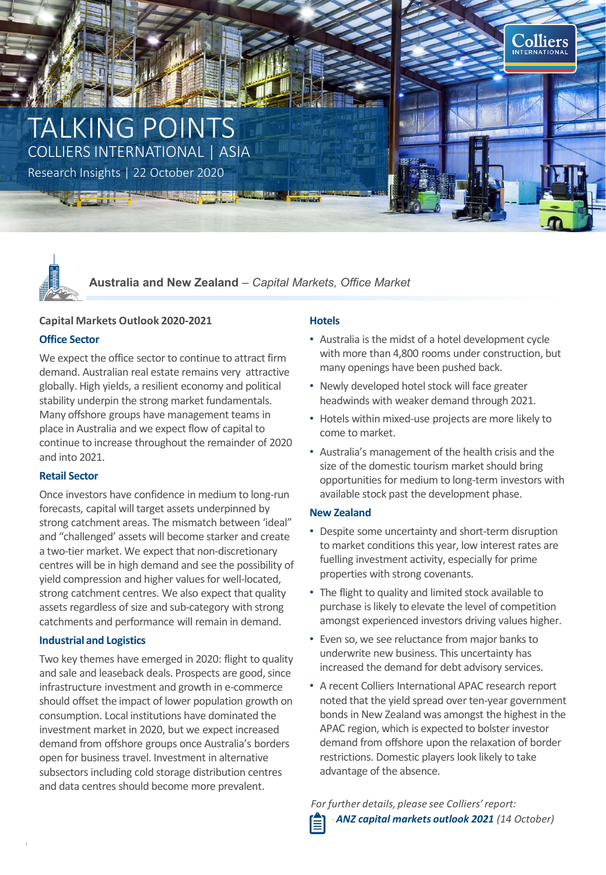# TALKING POINTS COLLIERS INTERNATIONAL | ASIA

Research Insights | 22 October 2020



**Australia and New Zealand** *– Capital Markets, Office Market*

# **Capital Markets Outlook 2020-2021**

# **Office Sector**

We expect the office sector to continue to attract firm demand. Australian real estate remains very attractive globally. High yields, a resilient economy and political stability underpin the strong market fundamentals. Many offshore groups have management teams in place in Australia and we expect flow of capital to continue to increase throughout the remainder of 2020 and into 2021.

# **Retail Sector**

Once investors have confidence in medium to long-run forecasts, capital will target assets underpinned by strong catchment areas. The mismatch between 'ideal" and "challenged' assets will become starker and create a two-tier market. We expect that non-discretionary centres will be in high demand and see the possibility of yield compression and higher values for well-located, strong catchment centres. We also expect that quality assets regardless of size and sub-category with strong catchments and performance will remain in demand.

# **Industrial and Logistics**

**Andrew Haskins** should offset the impact of lower population growth on consumption. Local institutions have dominated the investment market in 2020, but we expect increased demand from offshore groups once Australia's borders Two key themes have emerged in 2020: flight to quality and sale and leaseback deals. Prospects are good, since infrastructure investment and growth in e-commerce open for business travel. Investment in alternative subsectors including cold storage distribution centres and data centres should become more prevalent.

# **Hotels**

• Australia is the midst of a hotel development cycle with more than 4,800 rooms under construction, but many openings have been pushed back.

Colliers INTERNATIONAL

- Newly developed hotel stock will face greater headwinds with weaker demand through 2021.
- Hotels within mixed-use projects are more likely to come to market.
- Australia's management of the health crisis and the size of the domestic tourism market should bring opportunities for medium to long-term investors with available stock past the development phase.

# **New Zealand**

- Despite some uncertainty and short-term disruption to market conditions this year, low interest rates are fuelling investment activity, especially for prime properties with strong covenants.
- The flight to quality and limited stock available to purchase is likely to elevate the level of competition amongst experienced investors driving values higher.
- Even so, we see reluctance from major banks to underwrite new business. This uncertainty has increased the demand for debt advisory services.
- A recent Colliers International APAC research report noted that the yield spread over ten-year government bonds in New Zealand was amongst the highest in the APAC region, which is expected to bolster investor demand from offshore upon the relaxation of border restrictions. Domestic players look likely to take advantage of the absence.

*For further details, please see Colliers' report:* ‐*ANZ capital markets outlook 2021 (14 October)*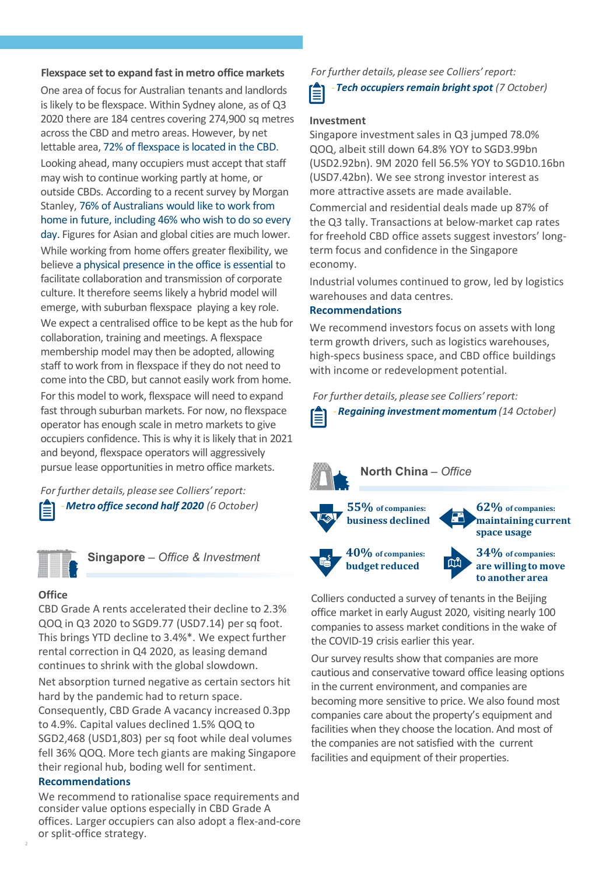#### **Flexspace set to expand fast in metro office markets**

One area of focus for Australian tenants and landlords is likely to be flexspace. Within Sydney alone, as of Q3 2020 there are 184 centres covering 274,900 sq metres across the CBD and metro areas. However, by net lettable area, 72% of flexspace is located in the CBD. Looking ahead, many occupiers must accept that staff may wish to continue working partly at home, or outside CBDs. According to a recent survey by Morgan Stanley, 76% of Australians would like to work from home in future, including 46% who wish to do so every day. Figures for Asian and global cities are much lower. While working from home offers greater flexibility, we believe a physical presence in the office is essential to facilitate collaboration and transmission of corporate culture. It therefore seems likely a hybrid model will emerge, with suburban flexspace playing a key role. We expect a centralised office to be kept as the hub for collaboration, training and meetings. A flexspace membership model may then be adopted, allowing staff to work from in flexspace if they do not need to come into the CBD, but cannot easily work from home. For this model to work, flexspace will need to expand fast through suburban markets. For now, no flexspace operator has enough scale in metro markets to give occupiers confidence. This is why it is likely that in 2021 and beyond, flexspace operators will aggressively pursue lease opportunities in metro office markets.

*For further details, please see Colliers' report:* ‐*Metro office second half 2020 (6 October)*



**Singapore** *– Office & Investment*

#### **Office**

CBD Grade A rents accelerated their decline to 2.3% QOQ in Q3 2020 to SGD9.77 (USD7.14) per sq foot. This brings YTD decline to 3.4%\*. We expect further rental correction in Q4 2020, as leasing demand continues to shrink with the global slowdown.

Net absorption turned negative as certain sectors hit hard by the pandemic had to return space.

Consequently, CBD Grade A vacancy increased 0.3pp to 4.9%. Capital values declined 1.5% QOQ to SGD2,468 (USD1,803) per sq foot while deal volumes fell 36% QOQ. More tech giants are making Singapore their regional hub, boding well for sentiment.

## **Recommendations**

We recommend to rationalise space requirements and consider value options especially in CBD Grade A offices. Larger occupiers can also adopt a flex-and-core or split-office strategy.

*For further details, please see Colliers' report:*

‐*Tech occupiers remain bright spot (7 October)* Ê

## **Investment**

Singapore investment sales in Q3 jumped 78.0% QOQ, albeit still down 64.8% YOY to SGD3.99bn (USD2.92bn). 9M 2020 fell 56.5% YOY to SGD10.16bn (USD7.42bn). We see strong investor interest as more attractive assets are made available.

Commercial and residential deals made up 87% of the Q3 tally. Transactions at below-market cap rates for freehold CBD office assets suggest investors' longterm focus and confidence in the Singapore economy.

Industrial volumes continued to grow, led by logistics warehouses and data centres.

# **Recommendations**

We recommend investors focus on assets with long term growth drivers, such as logistics warehouses, high-specs business space, and CBD office buildings with income or redevelopment potential.

*For further details, please see Colliers' report:*





Colliers conducted a survey of tenants in the Beijing office market in early August 2020, visiting nearly 100 companies to assess market conditions in the wake of the COVID-19 crisis earlier this year.

Our survey results show that companies are more cautious and conservative toward office leasing options in the current environment, and companies are becoming more sensitive to price. We also found most companies care about the property's equipment and facilities when they choose the location. And most of the companies are not satisfied with the current facilities and equipment of their properties.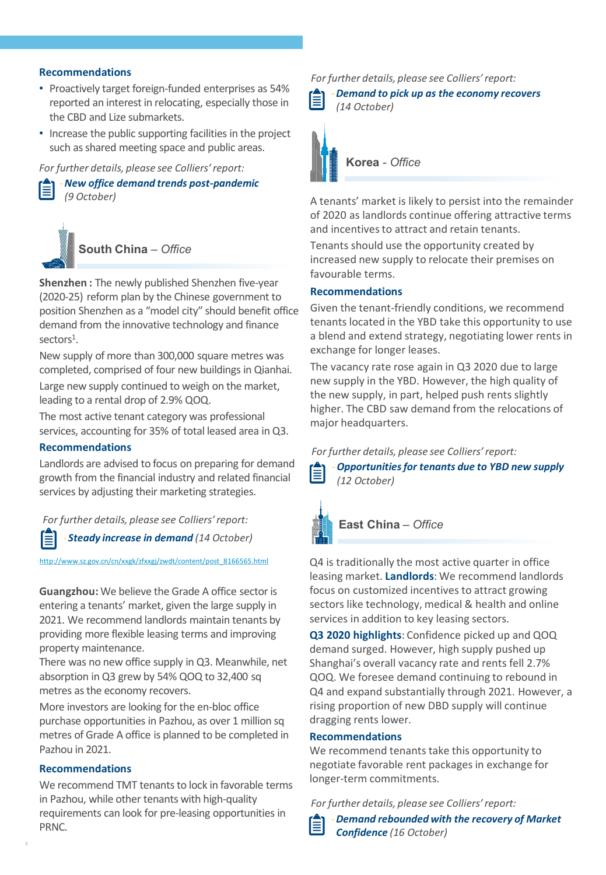## **Recommendations**

- Proactively target foreign-funded enterprises as 54% reported an interest in relocating, especially those in the CBD and Lize submarkets.
- Increase the public supporting facilities in the project such as shared meeting space and public areas.

## *For further details, please see Colliers' report:*



‐*New office demand trends post-pandemic (9 October)*



**South China** *– Office*

**Shenzhen :** The newly published Shenzhen five-year (2020-25) reform plan by the Chinese government to position Shenzhen as a "model city" should benefit office demand from the innovative technology and finance sectors<sup>1</sup>.

New supply of more than 300,000 square metres was completed, comprised of four new buildings in Qianhai. Large new supply continued to weigh on the market, leading to a rental drop of 2.9% QOQ.

The most active tenant category was professional services, accounting for 35% of total leased area in Q3.

## **Recommendations**

Landlords are advised to focus on preparing for demand growth from the financial industry and related financial services by adjusting their marketing strategies.

*For further details, please see Colliers' report:*

# ‐ *Steady increase in demand (14 October)*

. [http://www.sz.gov.cn/cn/xxgk/zfxxgj/zwdt/content/post\\_8166565.html](http://www.sz.gov.cn/cn/xxgk/zfxxgj/zwdt/content/post_8166565.html)

**Guangzhou:** We believe the Grade A office sector is entering a tenants' market, given the large supply in 2021. We recommend landlords maintain tenants by providing more flexible leasing terms and improving property maintenance.

There was no new office supply in Q3. Meanwhile, net absorption in Q3 grew by 54% QOQ to 32,400 sq metres as the economy recovers.

More investors are looking for the en-bloc office purchase opportunities in Pazhou, as over 1 million sq metres of Grade A office is planned to be completed in Pazhou in 2021.

# **Recommendations**

We recommend TMT tenants to lock in favorable terms in Pazhou, while other tenants with high-quality requirements can look for pre-leasing opportunities in PRNC.

*For further details, please see Colliers' report:*



**Korea** *- Office*

A tenants' market is likely to persist into the remainder of 2020 as landlords continue offering attractive terms and incentives to attract and retain tenants.

Tenants should use the opportunity created by increased new supply to relocate their premises on favourable terms.

## **Recommendations**

Given the tenant-friendly conditions, we recommend tenants located in the YBD take this opportunity to use a blend and extend strategy, negotiating lower rents in exchange for longer leases.

The vacancy rate rose again in Q3 2020 due to large new supply in the YBD. However, the high quality of the new supply, in part, helped push rents slightly higher. The CBD saw demand from the relocations of major headquarters.

*For further details, please see Colliers' report:*



‐*Opportunities for tenants due to YBD new supply (12 October)*



**East China** *– Office*

Q4 is traditionally the most active quarter in office leasing market. **Landlords**: We recommend landlords focus on customized incentives to attract growing sectors like technology, medical & health and online services in addition to key leasing sectors.

**Q3 2020 highlights**: Confidence picked up and QOQ demand surged. However, high supply pushed up Shanghai's overall vacancy rate and rents fell 2.7% QOQ. We foresee demand continuing to rebound in Q4 and expand substantially through 2021. However, a rising proportion of new DBD supply will continue dragging rents lower.

#### **Recommendations**

We recommend tenants take this opportunity to negotiate favorable rent packages in exchange for longer-term commitments.

*For further details, please see Colliers' report:*

‐*Demand rebounded with the recovery of Market Confidence (16 October)*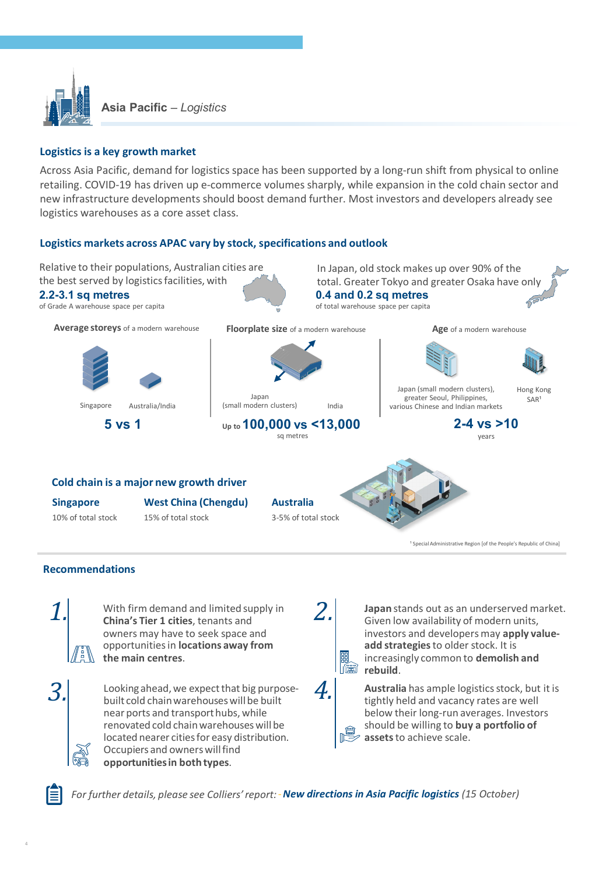

**Asia Pacific** *– Logistics*

# **Logistics is a key growth market**

Across Asia Pacific, demand for logistics space has been supported by a long-run shift from physical to online retailing. COVID-19 has driven up e-commerce volumes sharply, while expansion in the cold chain sector and new infrastructure developments should boost demand further. Most investors and developers already see logistics warehouses as a core asset class.

## **Logistics markets across APAC vary by stock, specifications and outlook**



near ports and transport hubs, while renovated cold chain warehouses will be located nearer cities for easy distribution. Occupiers and owners will find **opportunities in both types**.

*For further details, please see Colliers' report:*‐*New directions in Asia Pacific logistics (15 October)*

should be willing to **buy a portfolio of** 

**assets** to achieve scale.

4